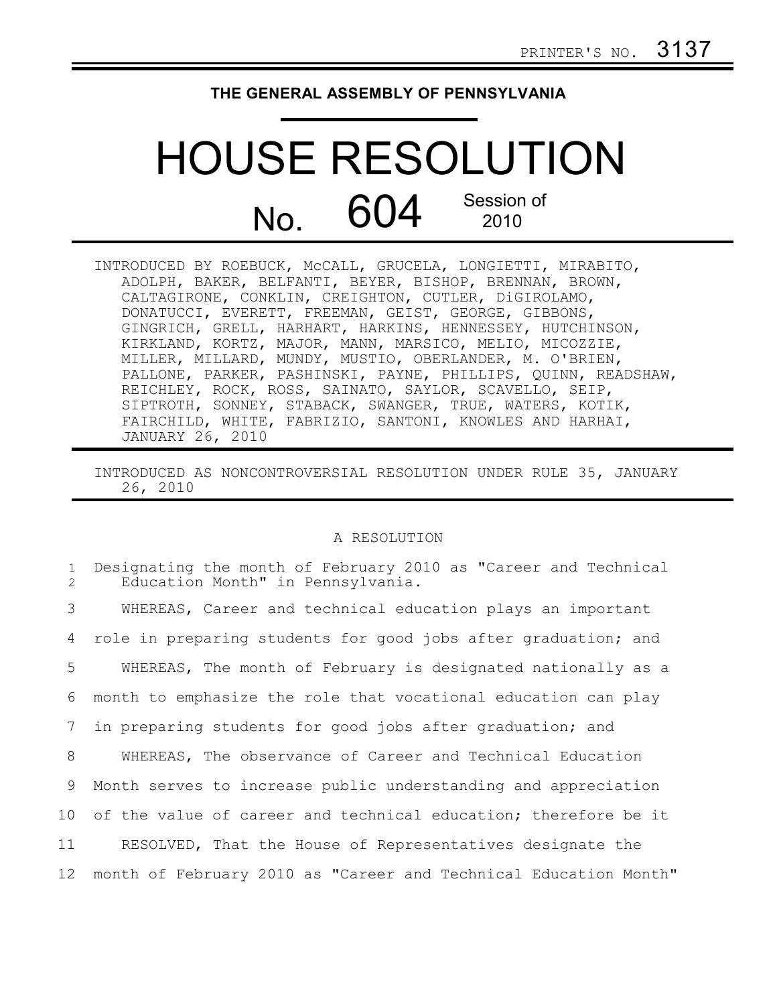## **THE GENERAL ASSEMBLY OF PENNSYLVANIA**

## HOUSE RESOLUTION  $N<sub>O</sub>$  604 Session of 2010

INTRODUCED BY ROEBUCK, McCALL, GRUCELA, LONGIETTI, MIRABITO, ADOLPH, BAKER, BELFANTI, BEYER, BISHOP, BRENNAN, BROWN, CALTAGIRONE, CONKLIN, CREIGHTON, CUTLER, DiGIROLAMO, DONATUCCI, EVERETT, FREEMAN, GEIST, GEORGE, GIBBONS, GINGRICH, GRELL, HARHART, HARKINS, HENNESSEY, HUTCHINSON, KIRKLAND, KORTZ, MAJOR, MANN, MARSICO, MELIO, MICOZZIE, MILLER, MILLARD, MUNDY, MUSTIO, OBERLANDER, M. O'BRIEN, PALLONE, PARKER, PASHINSKI, PAYNE, PHILLIPS, QUINN, READSHAW, REICHLEY, ROCK, ROSS, SAINATO, SAYLOR, SCAVELLO, SEIP, SIPTROTH, SONNEY, STABACK, SWANGER, TRUE, WATERS, KOTIK, FAIRCHILD, WHITE, FABRIZIO, SANTONI, KNOWLES AND HARHAI, JANUARY 26, 2010

INTRODUCED AS NONCONTROVERSIAL RESOLUTION UNDER RULE 35, JANUARY 26, 2010

## A RESOLUTION

| $\mathbf{1}$<br>2 | Designating the month of February 2010 as "Career and Technical<br>Education Month" in Pennsylvania. |
|-------------------|------------------------------------------------------------------------------------------------------|
| 3                 | WHEREAS, Career and technical education plays an important                                           |
| 4                 | role in preparing students for good jobs after graduation; and                                       |
| 5                 | WHEREAS, The month of February is designated nationally as a                                         |
| 6                 | month to emphasize the role that vocational education can play                                       |
| 7                 | in preparing students for good jobs after graduation; and                                            |
| 8                 | WHEREAS, The observance of Career and Technical Education                                            |
| 9                 | Month serves to increase public understanding and appreciation                                       |
| 10                | of the value of career and technical education; therefore be it                                      |
| 11                | RESOLVED, That the House of Representatives designate the                                            |
| 12                | month of February 2010 as "Career and Technical Education Month"                                     |